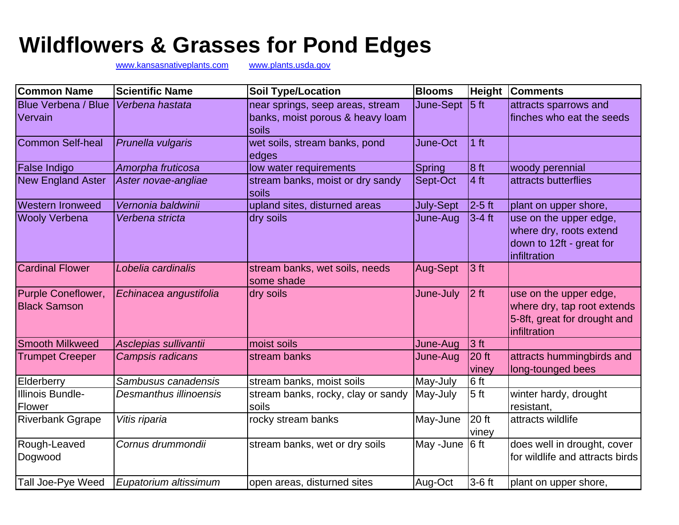## **Wildflowers & Grasses for Pond Edges**

www.kansasnativeplants.com www.plants.usda.gov

| <b>Common Name</b>                        | <b>Scientific Name</b> | <b>Soil Type/Location</b>                                                     | <b>Blooms</b>              |                  | <b>Height Comments</b>                                                                                |
|-------------------------------------------|------------------------|-------------------------------------------------------------------------------|----------------------------|------------------|-------------------------------------------------------------------------------------------------------|
| <b>Blue Verbena / Blue</b><br>Vervain     | Verbena hastata        | near springs, seep areas, stream<br>banks, moist porous & heavy loam<br>soils | June-Sept                  | $ 5 \text{ ft} $ | attracts sparrows and<br>finches who eat the seeds                                                    |
| <b>Common Self-heal</b>                   | Prunella vulgaris      | wet soils, stream banks, pond<br>edges                                        | June-Oct                   | 1 <sub>ft</sub>  |                                                                                                       |
| <b>False Indigo</b>                       | Amorpha fruticosa      | low water requirements                                                        | Spring                     | 8 <sub>ft</sub>  | woody perennial                                                                                       |
| <b>New England Aster</b>                  | Aster novae-angliae    | stream banks, moist or dry sandy<br>soils                                     | Sept-Oct                   | 4 <sub>ft</sub>  | attracts butterflies                                                                                  |
| <b>Western Ironweed</b>                   | Vernonia baldwinii     | upland sites, disturned areas                                                 | <b>July-Sept</b>           | $2-5$ ft         | plant on upper shore,                                                                                 |
| <b>Wooly Verbena</b>                      | Verbena stricta        | dry soils                                                                     | June-Aug                   | $3-4$ ft         | use on the upper edge,<br>where dry, roots extend<br>down to 12ft - great for<br>infiltration         |
| <b>Cardinal Flower</b>                    | Lobelia cardinalis     | stream banks, wet soils, needs<br>some shade                                  | Aug-Sept                   | 3 <sub>ft</sub>  |                                                                                                       |
| Purple Coneflower,<br><b>Black Samson</b> | Echinacea angustifolia | dry soils                                                                     | June-July                  | 2 <sub>ft</sub>  | use on the upper edge,<br>where dry, tap root extends<br>5-8ft, great for drought and<br>infiltration |
| <b>Smooth Milkweed</b>                    | Asclepias sullivantii  | moist soils                                                                   | June-Aug                   | 3 <sub>ft</sub>  |                                                                                                       |
| <b>Trumpet Creeper</b>                    | Campsis radicans       | stream banks                                                                  | June-Aug                   | 20 ft<br>viney   | attracts hummingbirds and<br>long-tounged bees                                                        |
| Elderberry                                | Sambusus canadensis    | stream banks, moist soils                                                     | May-July                   | 6 ft             |                                                                                                       |
| Illinois Bundle-<br>Flower                | Desmanthus illinoensis | stream banks, rocky, clay or sandy<br>soils                                   | May-July                   | 5 <sub>ft</sub>  | winter hardy, drought<br>resistant,                                                                   |
| <b>Riverbank Ggrape</b>                   | Vitis riparia          | rocky stream banks                                                            | May-June                   | 20 ft<br>viney   | attracts wildlife                                                                                     |
| Rough-Leaved<br>Dogwood                   | Cornus drummondii      | stream banks, wet or dry soils                                                | May -June $ 6 \text{ ft} $ |                  | does well in drought, cover<br>for wildlife and attracts birds                                        |
| Tall Joe-Pye Weed                         | Eupatorium altissimum  | open areas, disturned sites                                                   | Aug-Oct                    | $3-6$ ft         | plant on upper shore,                                                                                 |